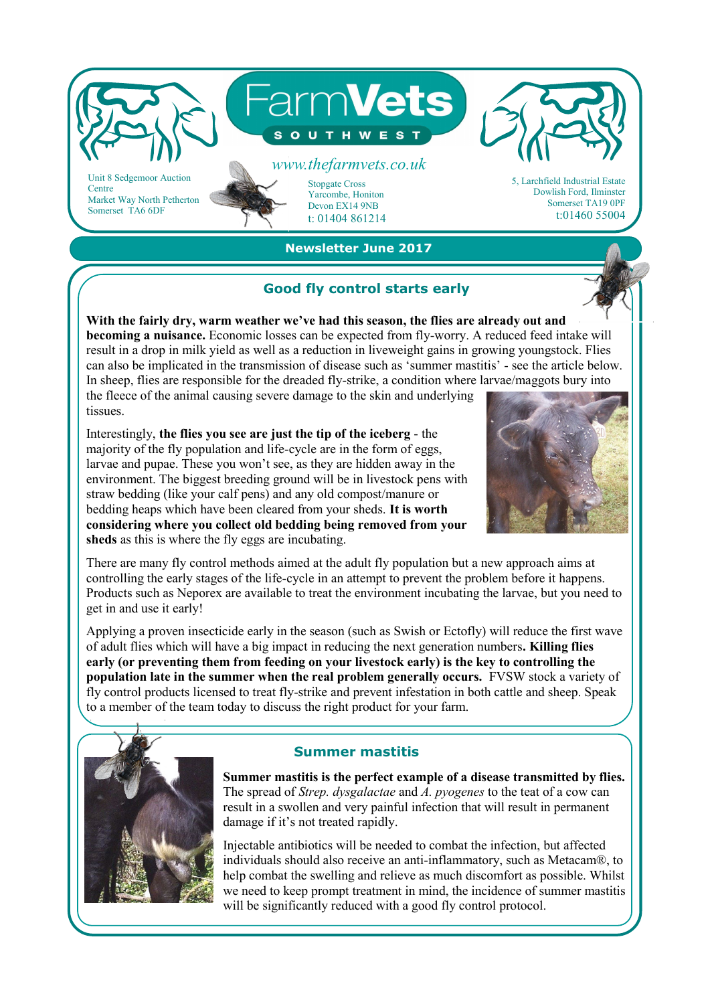

 **Newsletter June 2017** 

## **Good fly control starts early**

**With the fairly dry, warm weather we've had this season, the flies are already out and becoming a nuisance.** Economic losses can be expected from fly-worry. A reduced feed intake will result in a drop in milk yield as well as a reduction in liveweight gains in growing youngstock. Flies can also be implicated in the transmission of disease such as 'summer mastitis' - see the article below. In sheep, flies are responsible for the dreaded fly-strike, a condition where larvae/maggots bury into the fleece of the animal causing severe damage to the skin and underlying tissues.

Interestingly, **the flies you see are just the tip of the iceberg** - the majority of the fly population and life-cycle are in the form of eggs, larvae and pupae. These you won't see, as they are hidden away in the environment. The biggest breeding ground will be in livestock pens with straw bedding (like your calf pens) and any old compost/manure or bedding heaps which have been cleared from your sheds. **It is worth considering where you collect old bedding being removed from your sheds** as this is where the fly eggs are incubating.



There are many fly control methods aimed at the adult fly population but a new approach aims at controlling the early stages of the life-cycle in an attempt to prevent the problem before it happens. Products such as Neporex are available to treat the environment incubating the larvae, but you need to get in and use it early!

Applying a proven insecticide early in the season (such as Swish or Ectofly) will reduce the first wave of adult flies which will have a big impact in reducing the next generation numbers**. Killing flies early (or preventing them from feeding on your livestock early) is the key to controlling the population late in the summer when the real problem generally occurs.** FVSW stock a variety of fly control products licensed to treat fly-strike and prevent infestation in both cattle and sheep. Speak to a member of the team today to discuss the right product for your farm.



## **Summer mastitis**

**Summer mastitis is the perfect example of a disease transmitted by flies.**  The spread of *Strep. dysgalactae* and *A. pyogenes* to the teat of a cow can result in a swollen and very painful infection that will result in permanent damage if it's not treated rapidly.

Injectable antibiotics will be needed to combat the infection, but affected individuals should also receive an anti-inflammatory, such as Metacam®, to help combat the swelling and relieve as much discomfort as possible. Whilst we need to keep prompt treatment in mind, the incidence of summer mastitis will be significantly reduced with a good fly control protocol.